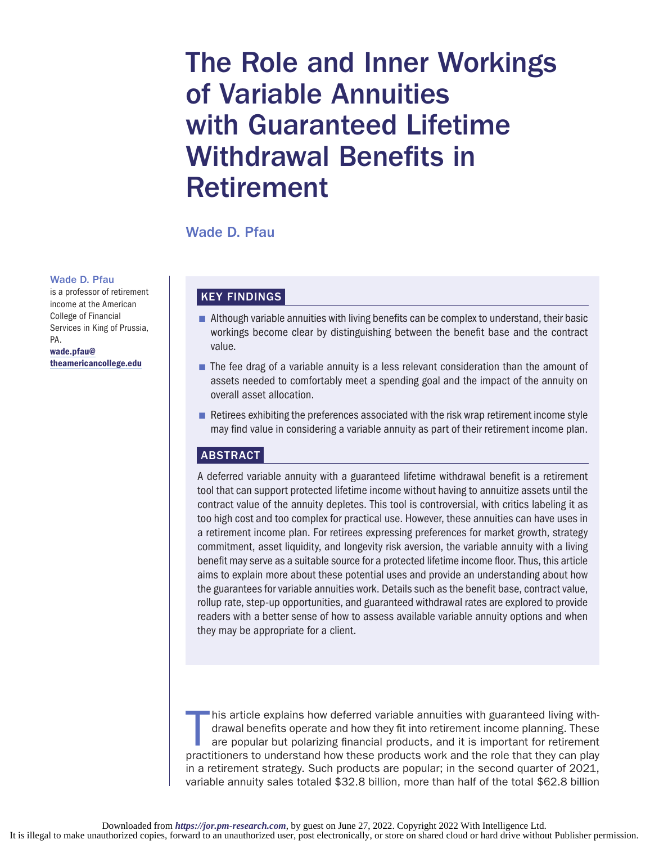# The Role and Inner Workings of Variable Annuities with Guaranteed Lifetime Withdrawal Benefits in Retirement

Wade D. Pfau

#### Wade D. Pfau

is a professor of retirement income at the American College of Financial Services in King of Prussia, PA. [wade.pfau@](mailto:wade.pfau@theamericancollege.edu)

[theamericancollege.edu](mailto:wade.pfau@theamericancollege.edu)

## KEY FINDINGS

- **n** Although variable annuities with living benefits can be complex to understand, their basic workings become clear by distinguishing between the benefit base and the contract value.
- **n** The fee drag of a variable annuity is a less relevant consideration than the amount of assets needed to comfortably meet a spending goal and the impact of the annuity on overall asset allocation.
- **Retirees exhibiting the preferences associated with the risk wrap retirement income style** may find value in considering a variable annuity as part of their retirement income plan.

## ABSTRACT

A deferred variable annuity with a guaranteed lifetime withdrawal benefit is a retirement tool that can support protected lifetime income without having to annuitize assets until the contract value of the annuity depletes. This tool is controversial, with critics labeling it as too high cost and too complex for practical use. However, these annuities can have uses in a retirement income plan. For retirees expressing preferences for market growth, strategy commitment, asset liquidity, and longevity risk aversion, the variable annuity with a living benefit may serve as a suitable source for a protected lifetime income floor. Thus, this article aims to explain more about these potential uses and provide an understanding about how the guarantees for variable annuities work. Details such as the benefit base, contract value, rollup rate, step-up opportunities, and guaranteed withdrawal rates are explored to provide readers with a better sense of how to assess available variable annuity options and when they may be appropriate for a client.

his article explains how deferred variable annuities with guaranteed living with-<br>drawal benefits operate and how they fit into retirement income planning. These<br>are popular but polarizing financial products, and it is imp Inis article explains how deferred variable annuities with guaranteed living withdrawal benefits operate and how they fit into retirement income planning. These are popular but polarizing financial products, and it is important for retirement in a retirement strategy. Such products are popular; in the second quarter of 2021, variable annuity sales totaled \$32.8 billion, more than half of the total \$62.8 billion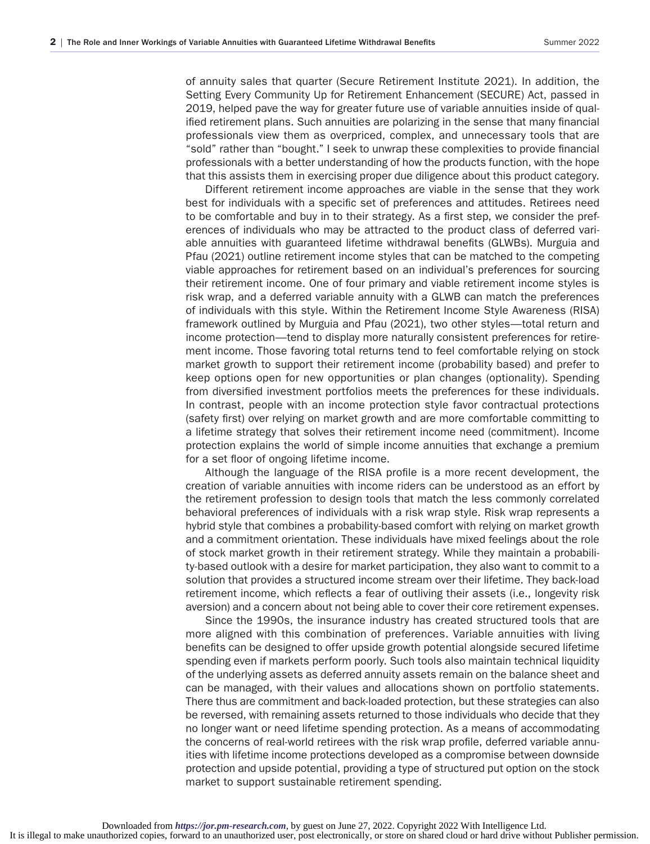of annuity sales that quarter (Secure Retirement Institute 2021). In addition, the Setting Every Community Up for Retirement Enhancement (SECURE) Act, passed in 2019, helped pave the way for greater future use of variable annuities inside of qualified retirement plans. Such annuities are polarizing in the sense that many financial professionals view them as overpriced, complex, and unnecessary tools that are "sold" rather than "bought." I seek to unwrap these complexities to provide financial professionals with a better understanding of how the products function, with the hope that this assists them in exercising proper due diligence about this product category.

Different retirement income approaches are viable in the sense that they work best for individuals with a specific set of preferences and attitudes. Retirees need to be comfortable and buy in to their strategy. As a first step, we consider the preferences of individuals who may be attracted to the product class of deferred variable annuities with guaranteed lifetime withdrawal benefits (GLWBs). Murguia and Pfau (2021) outline retirement income styles that can be matched to the competing viable approaches for retirement based on an individual's preferences for sourcing their retirement income. One of four primary and viable retirement income styles is risk wrap, and a deferred variable annuity with a GLWB can match the preferences of individuals with this style. Within the Retirement Income Style Awareness (RISA) framework outlined by Murguia and Pfau (2021), two other styles—total return and income protection—tend to display more naturally consistent preferences for retirement income. Those favoring total returns tend to feel comfortable relying on stock market growth to support their retirement income (probability based) and prefer to keep options open for new opportunities or plan changes (optionality). Spending from diversified investment portfolios meets the preferences for these individuals. In contrast, people with an income protection style favor contractual protections (safety first) over relying on market growth and are more comfortable committing to a lifetime strategy that solves their retirement income need (commitment). Income protection explains the world of simple income annuities that exchange a premium for a set floor of ongoing lifetime income.

Although the language of the RISA profile is a more recent development, the creation of variable annuities with income riders can be understood as an effort by the retirement profession to design tools that match the less commonly correlated behavioral preferences of individuals with a risk wrap style. Risk wrap represents a hybrid style that combines a probability-based comfort with relying on market growth and a commitment orientation. These individuals have mixed feelings about the role of stock market growth in their retirement strategy. While they maintain a probability-based outlook with a desire for market participation, they also want to commit to a solution that provides a structured income stream over their lifetime. They back-load retirement income, which reflects a fear of outliving their assets (i.e., longevity risk aversion) and a concern about not being able to cover their core retirement expenses.

Since the 1990s, the insurance industry has created structured tools that are more aligned with this combination of preferences. Variable annuities with living benefits can be designed to offer upside growth potential alongside secured lifetime spending even if markets perform poorly. Such tools also maintain technical liquidity of the underlying assets as deferred annuity assets remain on the balance sheet and can be managed, with their values and allocations shown on portfolio statements. There thus are commitment and back-loaded protection, but these strategies can also be reversed, with remaining assets returned to those individuals who decide that they no longer want or need lifetime spending protection. As a means of accommodating the concerns of real-world retirees with the risk wrap profile, deferred variable annuities with lifetime income protections developed as a compromise between downside protection and upside potential, providing a type of structured put option on the stock market to support sustainable retirement spending.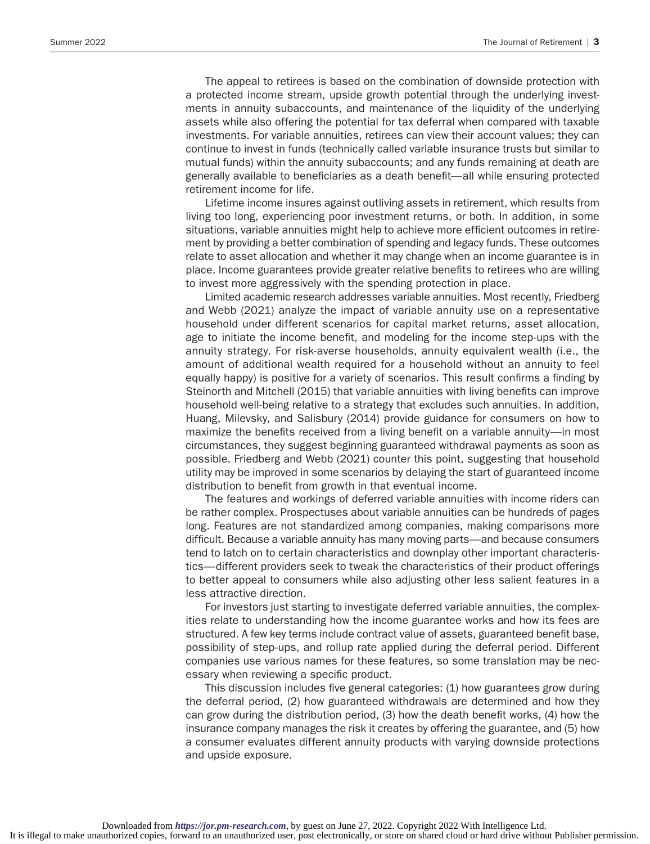The appeal to retirees is based on the combination of downside protection with a protected income stream, upside growth potential through the underlying investments in annuity subaccounts, and maintenance of the liquidity of the underlying assets while also offering the potential for tax deferral when compared with taxable investments. For variable annuities, retirees can view their account values; they can continue to invest in funds (technically called variable insurance trusts but similar to mutual funds) within the annuity subaccounts; and any funds remaining at death are generally available to beneficiaries as a death benefit—all while ensuring protected retirement income for life.

Lifetime income insures against outliving assets in retirement, which results from living too long, experiencing poor investment returns, or both. In addition, in some situations, variable annuities might help to achieve more efficient outcomes in retirement by providing a better combination of spending and legacy funds. These outcomes relate to asset allocation and whether it may change when an income guarantee is in place. Income guarantees provide greater relative benefits to retirees who are willing to invest more aggressively with the spending protection in place.

Limited academic research addresses variable annuities. Most recently, Friedberg and Webb (2021) analyze the impact of variable annuity use on a representative household under different scenarios for capital market returns, asset allocation, age to initiate the income benefit, and modeling for the income step-ups with the annuity strategy. For risk-averse households, annuity equivalent wealth (i.e., the amount of additional wealth required for a household without an annuity to feel equally happy) is positive for a variety of scenarios. This result confirms a finding by Steinorth and Mitchell (2015) that variable annuities with living benefits can improve household well-being relative to a strategy that excludes such annuities. In addition, Huang, Milevsky, and Salisbury (2014) provide guidance for consumers on how to maximize the benefits received from a living benefit on a variable annuity—in most circumstances, they suggest beginning guaranteed withdrawal payments as soon as possible. Friedberg and Webb (2021) counter this point, suggesting that household utility may be improved in some scenarios by delaying the start of guaranteed income distribution to benefit from growth in that eventual income.

The features and workings of deferred variable annuities with income riders can be rather complex. Prospectuses about variable annuities can be hundreds of pages long. Features are not standardized among companies, making comparisons more difficult. Because a variable annuity has many moving parts—and because consumers tend to latch on to certain characteristics and downplay other important characteristics—different providers seek to tweak the characteristics of their product offerings to better appeal to consumers while also adjusting other less salient features in a less attractive direction.

For investors just starting to investigate deferred variable annuities, the complexities relate to understanding how the income guarantee works and how its fees are structured. A few key terms include contract value of assets, guaranteed benefit base, possibility of step-ups, and rollup rate applied during the deferral period. Different companies use various names for these features, so some translation may be necessary when reviewing a specific product.

This discussion includes five general categories: (1) how guarantees grow during the deferral period, (2) how guaranteed withdrawals are determined and how they can grow during the distribution period, (3) how the death benefit works, (4) how the insurance company manages the risk it creates by offering the guarantee, and (5) how a consumer evaluates different annuity products with varying downside protections and upside exposure.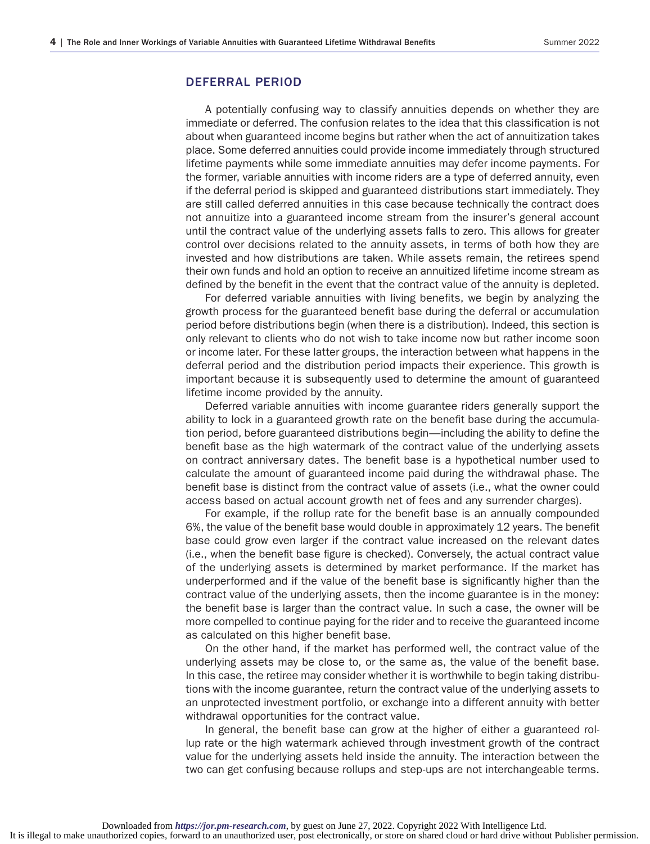## DEFERRAL PERIOD

A potentially confusing way to classify annuities depends on whether they are immediate or deferred. The confusion relates to the idea that this classification is not about when guaranteed income begins but rather when the act of annuitization takes place. Some deferred annuities could provide income immediately through structured lifetime payments while some immediate annuities may defer income payments. For the former, variable annuities with income riders are a type of deferred annuity, even if the deferral period is skipped and guaranteed distributions start immediately. They are still called deferred annuities in this case because technically the contract does not annuitize into a guaranteed income stream from the insurer's general account until the contract value of the underlying assets falls to zero. This allows for greater control over decisions related to the annuity assets, in terms of both how they are invested and how distributions are taken. While assets remain, the retirees spend their own funds and hold an option to receive an annuitized lifetime income stream as defined by the benefit in the event that the contract value of the annuity is depleted.

For deferred variable annuities with living benefits, we begin by analyzing the growth process for the guaranteed benefit base during the deferral or accumulation period before distributions begin (when there is a distribution). Indeed, this section is only relevant to clients who do not wish to take income now but rather income soon or income later. For these latter groups, the interaction between what happens in the deferral period and the distribution period impacts their experience. This growth is important because it is subsequently used to determine the amount of guaranteed lifetime income provided by the annuity.

Deferred variable annuities with income guarantee riders generally support the ability to lock in a guaranteed growth rate on the benefit base during the accumulation period, before guaranteed distributions begin—including the ability to define the benefit base as the high watermark of the contract value of the underlying assets on contract anniversary dates. The benefit base is a hypothetical number used to calculate the amount of guaranteed income paid during the withdrawal phase. The benefit base is distinct from the contract value of assets (i.e., what the owner could access based on actual account growth net of fees and any surrender charges).

For example, if the rollup rate for the benefit base is an annually compounded 6%, the value of the benefit base would double in approximately 12 years. The benefit base could grow even larger if the contract value increased on the relevant dates (i.e., when the benefit base figure is checked). Conversely, the actual contract value of the underlying assets is determined by market performance. If the market has underperformed and if the value of the benefit base is significantly higher than the contract value of the underlying assets, then the income guarantee is in the money: the benefit base is larger than the contract value. In such a case, the owner will be more compelled to continue paying for the rider and to receive the guaranteed income as calculated on this higher benefit base.

On the other hand, if the market has performed well, the contract value of the underlying assets may be close to, or the same as, the value of the benefit base. In this case, the retiree may consider whether it is worthwhile to begin taking distributions with the income guarantee, return the contract value of the underlying assets to an unprotected investment portfolio, or exchange into a different annuity with better withdrawal opportunities for the contract value.

In general, the benefit base can grow at the higher of either a guaranteed rollup rate or the high watermark achieved through investment growth of the contract value for the underlying assets held inside the annuity. The interaction between the two can get confusing because rollups and step-ups are not interchangeable terms.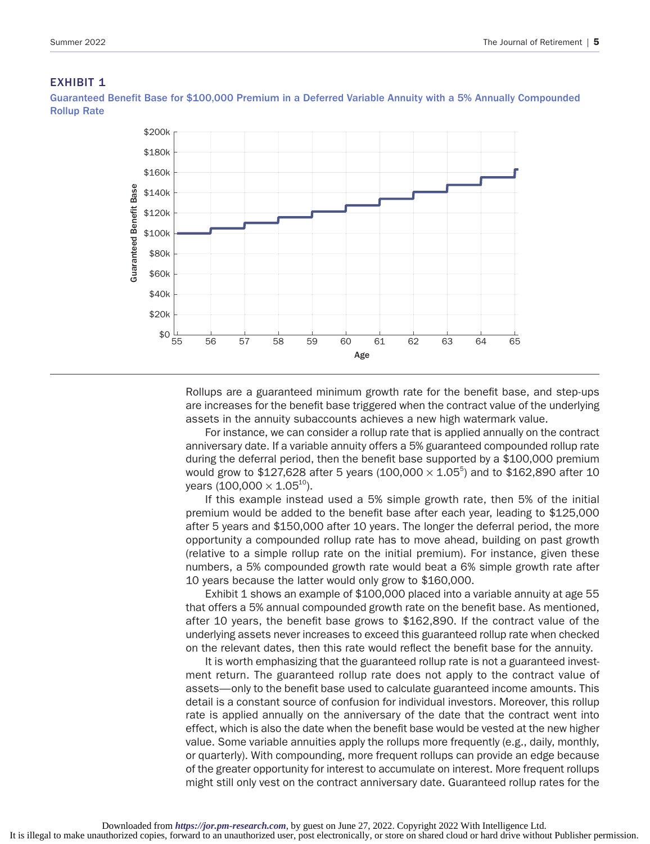#### **EXHIBIT 1**

Guaranteed Benefit Base for \$100,000 Premium in a Deferred Variable Annuity with a 5% Annually Compounded Rollup Rate



Rollups are a guaranteed minimum growth rate for the benefit base, and step-ups are increases for the benefit base triggered when the contract value of the underlying assets in the annuity subaccounts achieves a new high watermark value.

For instance, we can consider a rollup rate that is applied annually on the contract anniversary date. If a variable annuity offers a 5% guaranteed compounded rollup rate during the deferral period, then the benefit base supported by a \$100,000 premium would grow to \$127,628 after 5 years (100,000  $\times$  1.05<sup>5</sup>) and to \$162,890 after 10 years (100,000  $\times$  1.05<sup>10</sup>).

If this example instead used a 5% simple growth rate, then 5% of the initial premium would be added to the benefit base after each year, leading to \$125,000 after 5 years and \$150,000 after 10 years. The longer the deferral period, the more opportunity a compounded rollup rate has to move ahead, building on past growth (relative to a simple rollup rate on the initial premium). For instance, given these numbers, a 5% compounded growth rate would beat a 6% simple growth rate after 10 years because the latter would only grow to \$160,000.

Exhibit 1 shows an example of \$100,000 placed into a variable annuity at age 55 that offers a 5% annual compounded growth rate on the benefit base. As mentioned, after 10 years, the benefit base grows to \$162,890. If the contract value of the underlying assets never increases to exceed this guaranteed rollup rate when checked on the relevant dates, then this rate would reflect the benefit base for the annuity.

It is worth emphasizing that the guaranteed rollup rate is not a guaranteed investment return. The guaranteed rollup rate does not apply to the contract value of assets—only to the benefit base used to calculate guaranteed income amounts. This detail is a constant source of confusion for individual investors. Moreover, this rollup rate is applied annually on the anniversary of the date that the contract went into effect, which is also the date when the benefit base would be vested at the new higher value. Some variable annuities apply the rollups more frequently (e.g., daily, monthly, or quarterly). With compounding, more frequent rollups can provide an edge because of the greater opportunity for interest to accumulate on interest. More frequent rollups might still only vest on the contract anniversary date. Guaranteed rollup rates for the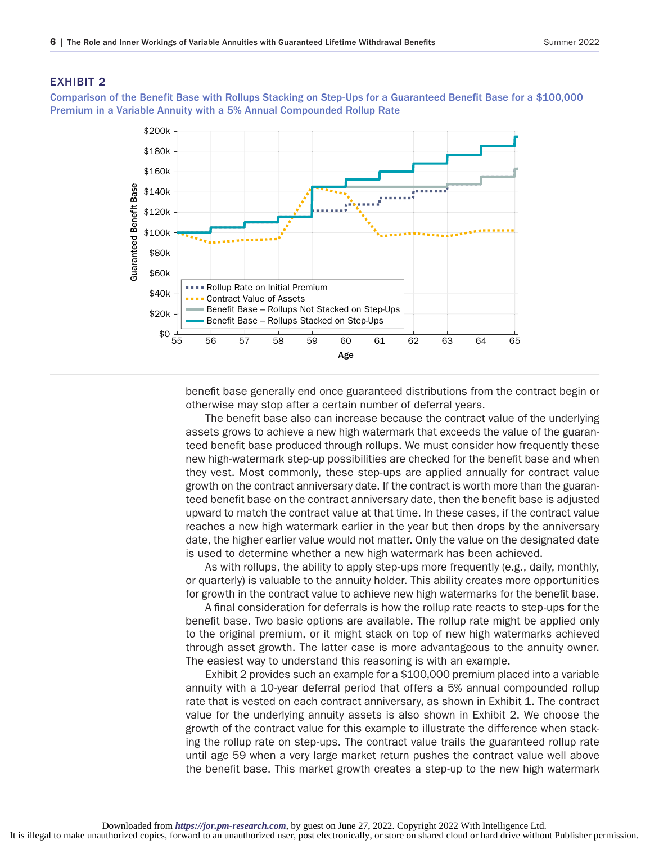#### EXHIBIT 2

Comparison of the Benefit Base with Rollups Stacking on Step-Ups for a Guaranteed Benefit Base for a \$100,000 Premium in a Variable Annuity with a 5% Annual Compounded Rollup Rate



benefit base generally end once guaranteed distributions from the contract begin or otherwise may stop after a certain number of deferral years.

The benefit base also can increase because the contract value of the underlying assets grows to achieve a new high watermark that exceeds the value of the guaranteed benefit base produced through rollups. We must consider how frequently these new high-watermark step-up possibilities are checked for the benefit base and when they vest. Most commonly, these step-ups are applied annually for contract value growth on the contract anniversary date. If the contract is worth more than the guaranteed benefit base on the contract anniversary date, then the benefit base is adjusted upward to match the contract value at that time. In these cases, if the contract value reaches a new high watermark earlier in the year but then drops by the anniversary date, the higher earlier value would not matter. Only the value on the designated date is used to determine whether a new high watermark has been achieved.

As with rollups, the ability to apply step-ups more frequently (e.g., daily, monthly, or quarterly) is valuable to the annuity holder. This ability creates more opportunities for growth in the contract value to achieve new high watermarks for the benefit base.

A final consideration for deferrals is how the rollup rate reacts to step-ups for the benefit base. Two basic options are available. The rollup rate might be applied only to the original premium, or it might stack on top of new high watermarks achieved through asset growth. The latter case is more advantageous to the annuity owner. The easiest way to understand this reasoning is with an example.

Exhibit 2 provides such an example for a \$100,000 premium placed into a variable annuity with a 10-year deferral period that offers a 5% annual compounded rollup rate that is vested on each contract anniversary, as shown in Exhibit 1. The contract value for the underlying annuity assets is also shown in Exhibit 2. We choose the growth of the contract value for this example to illustrate the difference when stacking the rollup rate on step-ups. The contract value trails the guaranteed rollup rate until age 59 when a very large market return pushes the contract value well above the benefit base. This market growth creates a step-up to the new high watermark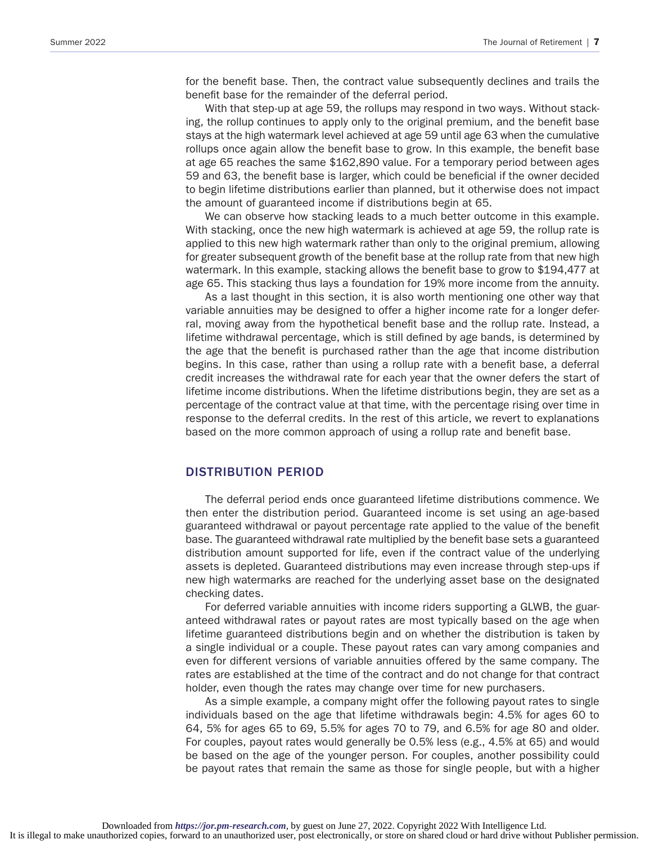for the benefit base. Then, the contract value subsequently declines and trails the benefit base for the remainder of the deferral period.

With that step-up at age 59, the rollups may respond in two ways. Without stacking, the rollup continues to apply only to the original premium, and the benefit base stays at the high watermark level achieved at age 59 until age 63 when the cumulative rollups once again allow the benefit base to grow. In this example, the benefit base at age 65 reaches the same \$162,890 value. For a temporary period between ages 59 and 63, the benefit base is larger, which could be beneficial if the owner decided to begin lifetime distributions earlier than planned, but it otherwise does not impact the amount of guaranteed income if distributions begin at 65.

We can observe how stacking leads to a much better outcome in this example. With stacking, once the new high watermark is achieved at age 59, the rollup rate is applied to this new high watermark rather than only to the original premium, allowing for greater subsequent growth of the benefit base at the rollup rate from that new high watermark. In this example, stacking allows the benefit base to grow to \$194,477 at age 65. This stacking thus lays a foundation for 19% more income from the annuity.

As a last thought in this section, it is also worth mentioning one other way that variable annuities may be designed to offer a higher income rate for a longer deferral, moving away from the hypothetical benefit base and the rollup rate. Instead, a lifetime withdrawal percentage, which is still defined by age bands, is determined by the age that the benefit is purchased rather than the age that income distribution begins. In this case, rather than using a rollup rate with a benefit base, a deferral credit increases the withdrawal rate for each year that the owner defers the start of lifetime income distributions. When the lifetime distributions begin, they are set as a percentage of the contract value at that time, with the percentage rising over time in response to the deferral credits. In the rest of this article, we revert to explanations based on the more common approach of using a rollup rate and benefit base.

#### DISTRIBUTION PERIOD

The deferral period ends once guaranteed lifetime distributions commence. We then enter the distribution period. Guaranteed income is set using an age-based guaranteed withdrawal or payout percentage rate applied to the value of the benefit base. The guaranteed withdrawal rate multiplied by the benefit base sets a guaranteed distribution amount supported for life, even if the contract value of the underlying assets is depleted. Guaranteed distributions may even increase through step-ups if new high watermarks are reached for the underlying asset base on the designated checking dates.

For deferred variable annuities with income riders supporting a GLWB, the guaranteed withdrawal rates or payout rates are most typically based on the age when lifetime guaranteed distributions begin and on whether the distribution is taken by a single individual or a couple. These payout rates can vary among companies and even for different versions of variable annuities offered by the same company. The rates are established at the time of the contract and do not change for that contract holder, even though the rates may change over time for new purchasers.

As a simple example, a company might offer the following payout rates to single individuals based on the age that lifetime withdrawals begin: 4.5% for ages 60 to 64, 5% for ages 65 to 69, 5.5% for ages 70 to 79, and 6.5% for age 80 and older. For couples, payout rates would generally be 0.5% less (e.g., 4.5% at 65) and would be based on the age of the younger person. For couples, another possibility could be payout rates that remain the same as those for single people, but with a higher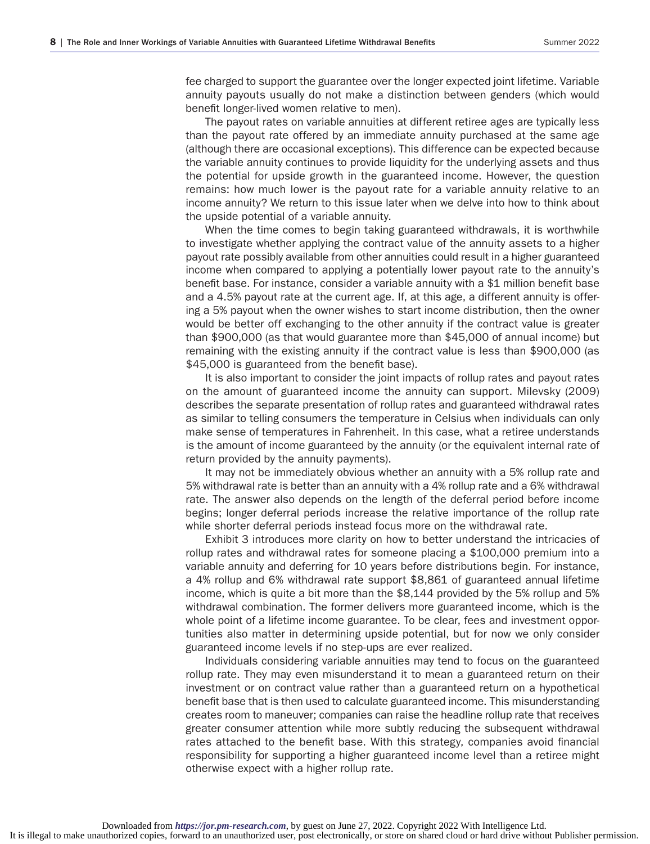fee charged to support the guarantee over the longer expected joint lifetime. Variable annuity payouts usually do not make a distinction between genders (which would benefit longer-lived women relative to men).

The payout rates on variable annuities at different retiree ages are typically less than the payout rate offered by an immediate annuity purchased at the same age (although there are occasional exceptions). This difference can be expected because the variable annuity continues to provide liquidity for the underlying assets and thus the potential for upside growth in the guaranteed income. However, the question remains: how much lower is the payout rate for a variable annuity relative to an income annuity? We return to this issue later when we delve into how to think about the upside potential of a variable annuity.

When the time comes to begin taking guaranteed withdrawals, it is worthwhile to investigate whether applying the contract value of the annuity assets to a higher payout rate possibly available from other annuities could result in a higher guaranteed income when compared to applying a potentially lower payout rate to the annuity's benefit base. For instance, consider a variable annuity with a \$1 million benefit base and a 4.5% payout rate at the current age. If, at this age, a different annuity is offering a 5% payout when the owner wishes to start income distribution, then the owner would be better off exchanging to the other annuity if the contract value is greater than \$900,000 (as that would guarantee more than \$45,000 of annual income) but remaining with the existing annuity if the contract value is less than \$900,000 (as \$45,000 is guaranteed from the benefit base).

It is also important to consider the joint impacts of rollup rates and payout rates on the amount of guaranteed income the annuity can support. Milevsky (2009) describes the separate presentation of rollup rates and guaranteed withdrawal rates as similar to telling consumers the temperature in Celsius when individuals can only make sense of temperatures in Fahrenheit. In this case, what a retiree understands is the amount of income guaranteed by the annuity (or the equivalent internal rate of return provided by the annuity payments).

It may not be immediately obvious whether an annuity with a 5% rollup rate and 5% withdrawal rate is better than an annuity with a 4% rollup rate and a 6% withdrawal rate. The answer also depends on the length of the deferral period before income begins; longer deferral periods increase the relative importance of the rollup rate while shorter deferral periods instead focus more on the withdrawal rate.

Exhibit 3 introduces more clarity on how to better understand the intricacies of rollup rates and withdrawal rates for someone placing a \$100,000 premium into a variable annuity and deferring for 10 years before distributions begin. For instance, a 4% rollup and 6% withdrawal rate support \$8,861 of guaranteed annual lifetime income, which is quite a bit more than the \$8,144 provided by the 5% rollup and 5% withdrawal combination. The former delivers more guaranteed income, which is the whole point of a lifetime income guarantee. To be clear, fees and investment opportunities also matter in determining upside potential, but for now we only consider guaranteed income levels if no step-ups are ever realized.

Individuals considering variable annuities may tend to focus on the guaranteed rollup rate. They may even misunderstand it to mean a guaranteed return on their investment or on contract value rather than a guaranteed return on a hypothetical benefit base that is then used to calculate guaranteed income. This misunderstanding creates room to maneuver; companies can raise the headline rollup rate that receives greater consumer attention while more subtly reducing the subsequent withdrawal rates attached to the benefit base. With this strategy, companies avoid financial responsibility for supporting a higher guaranteed income level than a retiree might otherwise expect with a higher rollup rate.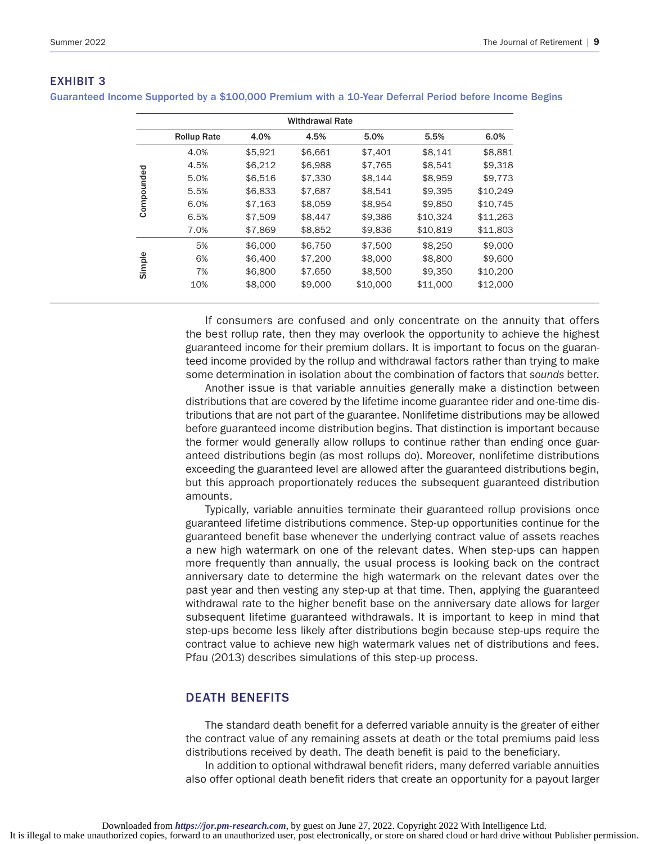| <b>Withdrawal Rate</b> |                    |         |         |          |          |          |
|------------------------|--------------------|---------|---------|----------|----------|----------|
|                        | <b>Rollup Rate</b> | 4.0%    | 4.5%    | 5.0%     | 5.5%     | 6.0%     |
| Compounded             | 4.0%               | \$5,921 | \$6,661 | \$7,401  | \$8,141  | \$8,881  |
|                        | 4.5%               | \$6,212 | \$6,988 | \$7,765  | \$8.541  | \$9,318  |
|                        | 5.0%               | \$6,516 | \$7,330 | \$8,144  | \$8,959  | \$9.773  |
|                        | 5.5%               | \$6,833 | \$7,687 | \$8,541  | \$9.395  | \$10.249 |
|                        | 6.0%               | \$7,163 | \$8,059 | \$8,954  | \$9,850  | \$10,745 |
|                        | 6.5%               | \$7,509 | \$8,447 | \$9,386  | \$10.324 | \$11,263 |
|                        | 7.0%               | \$7,869 | \$8,852 | \$9,836  | \$10.819 | \$11,803 |
| Simple                 | 5%                 | \$6,000 | \$6,750 | \$7,500  | \$8,250  | \$9,000  |
|                        | 6%                 | \$6,400 | \$7,200 | \$8,000  | \$8,800  | \$9,600  |
|                        | 7%                 | \$6,800 | \$7,650 | \$8,500  | \$9,350  | \$10,200 |
|                        | 10%                | \$8,000 | \$9,000 | \$10,000 | \$11,000 | \$12,000 |
|                        |                    |         |         |          |          |          |

## EXHIBIT 3

Guaranteed Income Supported by a \$100,000 Premium with a 10-Year Deferral Period before Income Begins

If consumers are confused and only concentrate on the annuity that offers the best rollup rate, then they may overlook the opportunity to achieve the highest guaranteed income for their premium dollars. It is important to focus on the guaranteed income provided by the rollup and withdrawal factors rather than trying to make some determination in isolation about the combination of factors that *sounds* better.

Another issue is that variable annuities generally make a distinction between distributions that are covered by the lifetime income guarantee rider and one-time distributions that are not part of the guarantee. Nonlifetime distributions may be allowed before guaranteed income distribution begins. That distinction is important because the former would generally allow rollups to continue rather than ending once guaranteed distributions begin (as most rollups do). Moreover, nonlifetime distributions exceeding the guaranteed level are allowed after the guaranteed distributions begin, but this approach proportionately reduces the subsequent guaranteed distribution amounts.

Typically, variable annuities terminate their guaranteed rollup provisions once guaranteed lifetime distributions commence. Step-up opportunities continue for the guaranteed benefit base whenever the underlying contract value of assets reaches a new high watermark on one of the relevant dates. When step-ups can happen more frequently than annually, the usual process is looking back on the contract anniversary date to determine the high watermark on the relevant dates over the past year and then vesting any step-up at that time. Then, applying the guaranteed withdrawal rate to the higher benefit base on the anniversary date allows for larger subsequent lifetime guaranteed withdrawals. It is important to keep in mind that step-ups become less likely after distributions begin because step-ups require the contract value to achieve new high watermark values net of distributions and fees. Pfau (2013) describes simulations of this step-up process.

## DEATH BENEFITS

The standard death benefit for a deferred variable annuity is the greater of either the contract value of any remaining assets at death or the total premiums paid less distributions received by death. The death benefit is paid to the beneficiary.

In addition to optional withdrawal benefit riders, many deferred variable annuities also offer optional death benefit riders that create an opportunity for a payout larger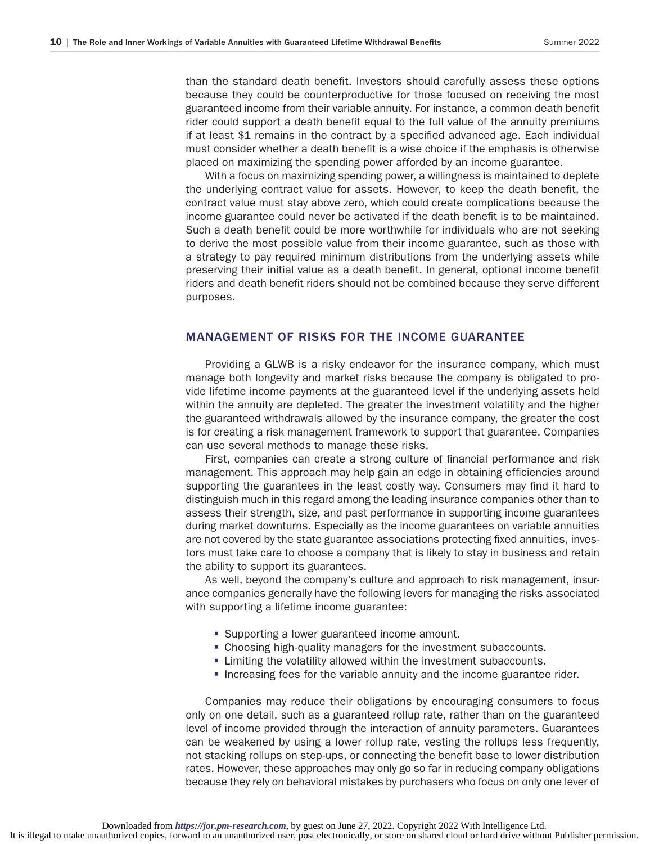than the standard death benefit. Investors should carefully assess these options because they could be counterproductive for those focused on receiving the most guaranteed income from their variable annuity. For instance, a common death benefit rider could support a death benefit equal to the full value of the annuity premiums if at least \$1 remains in the contract by a specified advanced age. Each individual must consider whether a death benefit is a wise choice if the emphasis is otherwise placed on maximizing the spending power afforded by an income guarantee.

With a focus on maximizing spending power, a willingness is maintained to deplete the underlying contract value for assets. However, to keep the death benefit, the contract value must stay above zero, which could create complications because the income guarantee could never be activated if the death benefit is to be maintained. Such a death benefit could be more worthwhile for individuals who are not seeking to derive the most possible value from their income guarantee, such as those with a strategy to pay required minimum distributions from the underlying assets while preserving their initial value as a death benefit. In general, optional income benefit riders and death benefit riders should not be combined because they serve different purposes.

### MANAGEMENT OF RISKS FOR THE INCOME GUARANTEE

Providing a GLWB is a risky endeavor for the insurance company, which must manage both longevity and market risks because the company is obligated to provide lifetime income payments at the guaranteed level if the underlying assets held within the annuity are depleted. The greater the investment volatility and the higher the guaranteed withdrawals allowed by the insurance company, the greater the cost is for creating a risk management framework to support that guarantee. Companies can use several methods to manage these risks.

First, companies can create a strong culture of financial performance and risk management. This approach may help gain an edge in obtaining efficiencies around supporting the guarantees in the least costly way. Consumers may find it hard to distinguish much in this regard among the leading insurance companies other than to assess their strength, size, and past performance in supporting income guarantees during market downturns. Especially as the income guarantees on variable annuities are not covered by the state guarantee associations protecting fixed annuities, investors must take care to choose a company that is likely to stay in business and retain the ability to support its guarantees.

As well, beyond the company's culture and approach to risk management, insurance companies generally have the following levers for managing the risks associated with supporting a lifetime income guarantee:

- Supporting a lower guaranteed income amount.
- Choosing high-quality managers for the investment subaccounts.
- **Example 2** Limiting the volatility allowed within the investment subaccounts.
- Increasing fees for the variable annuity and the income guarantee rider.

Companies may reduce their obligations by encouraging consumers to focus only on one detail, such as a guaranteed rollup rate, rather than on the guaranteed level of income provided through the interaction of annuity parameters. Guarantees can be weakened by using a lower rollup rate, vesting the rollups less frequently, not stacking rollups on step-ups, or connecting the benefit base to lower distribution rates. However, these approaches may only go so far in reducing company obligations because they rely on behavioral mistakes by purchasers who focus on only one lever of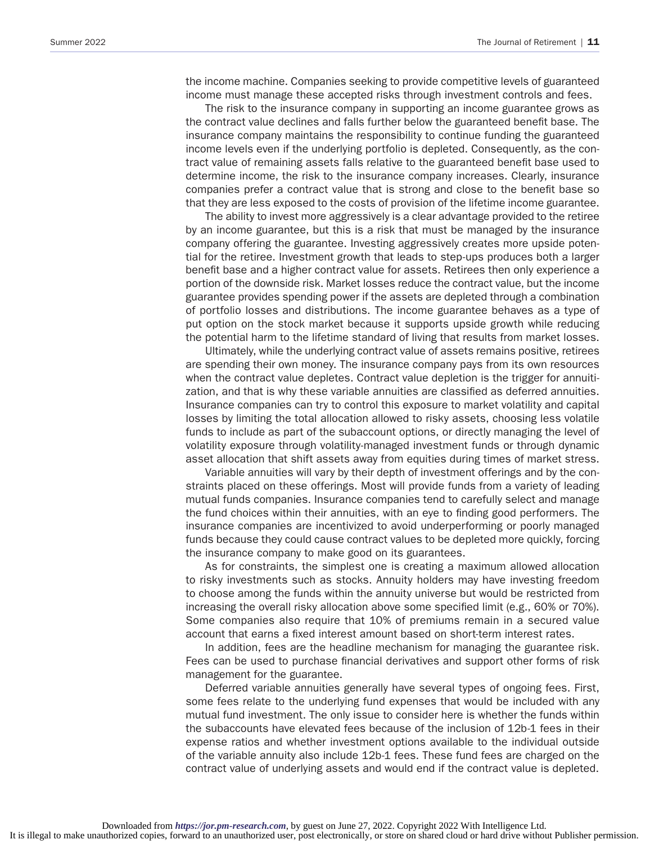the income machine. Companies seeking to provide competitive levels of guaranteed income must manage these accepted risks through investment controls and fees.

The risk to the insurance company in supporting an income guarantee grows as the contract value declines and falls further below the guaranteed benefit base. The insurance company maintains the responsibility to continue funding the guaranteed income levels even if the underlying portfolio is depleted. Consequently, as the contract value of remaining assets falls relative to the guaranteed benefit base used to determine income, the risk to the insurance company increases. Clearly, insurance companies prefer a contract value that is strong and close to the benefit base so that they are less exposed to the costs of provision of the lifetime income guarantee.

The ability to invest more aggressively is a clear advantage provided to the retiree by an income guarantee, but this is a risk that must be managed by the insurance company offering the guarantee. Investing aggressively creates more upside potential for the retiree. Investment growth that leads to step-ups produces both a larger benefit base and a higher contract value for assets. Retirees then only experience a portion of the downside risk. Market losses reduce the contract value, but the income guarantee provides spending power if the assets are depleted through a combination of portfolio losses and distributions. The income guarantee behaves as a type of put option on the stock market because it supports upside growth while reducing the potential harm to the lifetime standard of living that results from market losses.

Ultimately, while the underlying contract value of assets remains positive, retirees are spending their own money. The insurance company pays from its own resources when the contract value depletes. Contract value depletion is the trigger for annuitization, and that is why these variable annuities are classified as deferred annuities. Insurance companies can try to control this exposure to market volatility and capital losses by limiting the total allocation allowed to risky assets, choosing less volatile funds to include as part of the subaccount options, or directly managing the level of volatility exposure through volatility-managed investment funds or through dynamic asset allocation that shift assets away from equities during times of market stress.

Variable annuities will vary by their depth of investment offerings and by the constraints placed on these offerings. Most will provide funds from a variety of leading mutual funds companies. Insurance companies tend to carefully select and manage the fund choices within their annuities, with an eye to finding good performers. The insurance companies are incentivized to avoid underperforming or poorly managed funds because they could cause contract values to be depleted more quickly, forcing the insurance company to make good on its guarantees.

As for constraints, the simplest one is creating a maximum allowed allocation to risky investments such as stocks. Annuity holders may have investing freedom to choose among the funds within the annuity universe but would be restricted from increasing the overall risky allocation above some specified limit (e.g., 60% or 70%). Some companies also require that 10% of premiums remain in a secured value account that earns a fixed interest amount based on short-term interest rates.

In addition, fees are the headline mechanism for managing the guarantee risk. Fees can be used to purchase financial derivatives and support other forms of risk management for the guarantee.

Deferred variable annuities generally have several types of ongoing fees. First, some fees relate to the underlying fund expenses that would be included with any mutual fund investment. The only issue to consider here is whether the funds within the subaccounts have elevated fees because of the inclusion of 12b-1 fees in their expense ratios and whether investment options available to the individual outside of the variable annuity also include 12b-1 fees. These fund fees are charged on the contract value of underlying assets and would end if the contract value is depleted.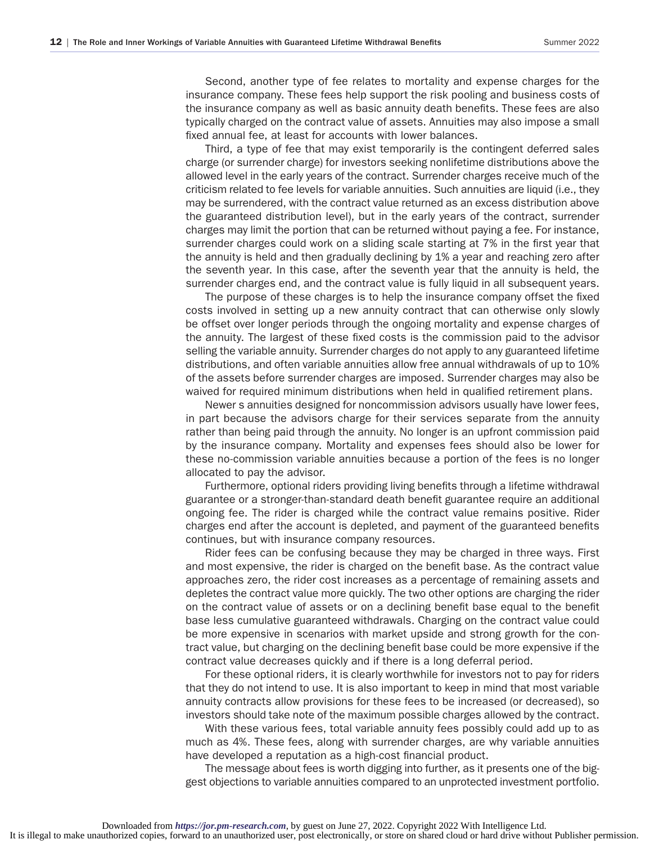Second, another type of fee relates to mortality and expense charges for the insurance company. These fees help support the risk pooling and business costs of the insurance company as well as basic annuity death benefits. These fees are also typically charged on the contract value of assets. Annuities may also impose a small fixed annual fee, at least for accounts with lower balances.

Third, a type of fee that may exist temporarily is the contingent deferred sales charge (or surrender charge) for investors seeking nonlifetime distributions above the allowed level in the early years of the contract. Surrender charges receive much of the criticism related to fee levels for variable annuities. Such annuities are liquid (i.e., they may be surrendered, with the contract value returned as an excess distribution above the guaranteed distribution level), but in the early years of the contract, surrender charges may limit the portion that can be returned without paying a fee. For instance, surrender charges could work on a sliding scale starting at 7% in the first year that the annuity is held and then gradually declining by 1% a year and reaching zero after the seventh year. In this case, after the seventh year that the annuity is held, the surrender charges end, and the contract value is fully liquid in all subsequent years.

The purpose of these charges is to help the insurance company offset the fixed costs involved in setting up a new annuity contract that can otherwise only slowly be offset over longer periods through the ongoing mortality and expense charges of the annuity. The largest of these fixed costs is the commission paid to the advisor selling the variable annuity. Surrender charges do not apply to any guaranteed lifetime distributions, and often variable annuities allow free annual withdrawals of up to 10% of the assets before surrender charges are imposed. Surrender charges may also be waived for required minimum distributions when held in qualified retirement plans.

Newer s annuities designed for noncommission advisors usually have lower fees, in part because the advisors charge for their services separate from the annuity rather than being paid through the annuity. No longer is an upfront commission paid by the insurance company. Mortality and expenses fees should also be lower for these no-commission variable annuities because a portion of the fees is no longer allocated to pay the advisor.

Furthermore, optional riders providing living benefits through a lifetime withdrawal guarantee or a stronger-than-standard death benefit guarantee require an additional ongoing fee. The rider is charged while the contract value remains positive. Rider charges end after the account is depleted, and payment of the guaranteed benefits continues, but with insurance company resources.

Rider fees can be confusing because they may be charged in three ways. First and most expensive, the rider is charged on the benefit base. As the contract value approaches zero, the rider cost increases as a percentage of remaining assets and depletes the contract value more quickly. The two other options are charging the rider on the contract value of assets or on a declining benefit base equal to the benefit base less cumulative guaranteed withdrawals. Charging on the contract value could be more expensive in scenarios with market upside and strong growth for the contract value, but charging on the declining benefit base could be more expensive if the contract value decreases quickly and if there is a long deferral period.

For these optional riders, it is clearly worthwhile for investors not to pay for riders that they do not intend to use. It is also important to keep in mind that most variable annuity contracts allow provisions for these fees to be increased (or decreased), so investors should take note of the maximum possible charges allowed by the contract.

With these various fees, total variable annuity fees possibly could add up to as much as 4%. These fees, along with surrender charges, are why variable annuities have developed a reputation as a high-cost financial product.

The message about fees is worth digging into further, as it presents one of the biggest objections to variable annuities compared to an unprotected investment portfolio.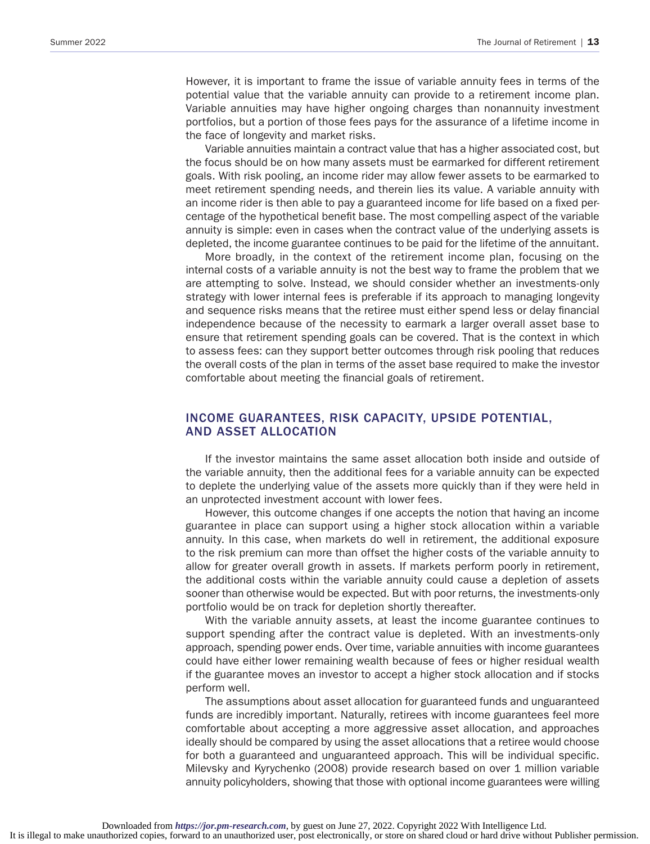However, it is important to frame the issue of variable annuity fees in terms of the potential value that the variable annuity can provide to a retirement income plan. Variable annuities may have higher ongoing charges than nonannuity investment portfolios, but a portion of those fees pays for the assurance of a lifetime income in the face of longevity and market risks.

Variable annuities maintain a contract value that has a higher associated cost, but the focus should be on how many assets must be earmarked for different retirement goals. With risk pooling, an income rider may allow fewer assets to be earmarked to meet retirement spending needs, and therein lies its value. A variable annuity with an income rider is then able to pay a guaranteed income for life based on a fixed percentage of the hypothetical benefit base. The most compelling aspect of the variable annuity is simple: even in cases when the contract value of the underlying assets is depleted, the income guarantee continues to be paid for the lifetime of the annuitant.

More broadly, in the context of the retirement income plan, focusing on the internal costs of a variable annuity is not the best way to frame the problem that we are attempting to solve. Instead, we should consider whether an investments-only strategy with lower internal fees is preferable if its approach to managing longevity and sequence risks means that the retiree must either spend less or delay financial independence because of the necessity to earmark a larger overall asset base to ensure that retirement spending goals can be covered. That is the context in which to assess fees: can they support better outcomes through risk pooling that reduces the overall costs of the plan in terms of the asset base required to make the investor comfortable about meeting the financial goals of retirement.

## INCOME GUARANTEES, RISK CAPACITY, UPSIDE POTENTIAL, AND ASSET ALLOCATION

If the investor maintains the same asset allocation both inside and outside of the variable annuity, then the additional fees for a variable annuity can be expected to deplete the underlying value of the assets more quickly than if they were held in an unprotected investment account with lower fees.

However, this outcome changes if one accepts the notion that having an income guarantee in place can support using a higher stock allocation within a variable annuity. In this case, when markets do well in retirement, the additional exposure to the risk premium can more than offset the higher costs of the variable annuity to allow for greater overall growth in assets. If markets perform poorly in retirement, the additional costs within the variable annuity could cause a depletion of assets sooner than otherwise would be expected. But with poor returns, the investments-only portfolio would be on track for depletion shortly thereafter.

With the variable annuity assets, at least the income guarantee continues to support spending after the contract value is depleted. With an investments-only approach, spending power ends. Over time, variable annuities with income guarantees could have either lower remaining wealth because of fees or higher residual wealth if the guarantee moves an investor to accept a higher stock allocation and if stocks perform well.

The assumptions about asset allocation for guaranteed funds and unguaranteed funds are incredibly important. Naturally, retirees with income guarantees feel more comfortable about accepting a more aggressive asset allocation, and approaches ideally should be compared by using the asset allocations that a retiree would choose for both a guaranteed and unguaranteed approach. This will be individual specific. Milevsky and Kyrychenko (2008) provide research based on over 1 million variable annuity policyholders, showing that those with optional income guarantees were willing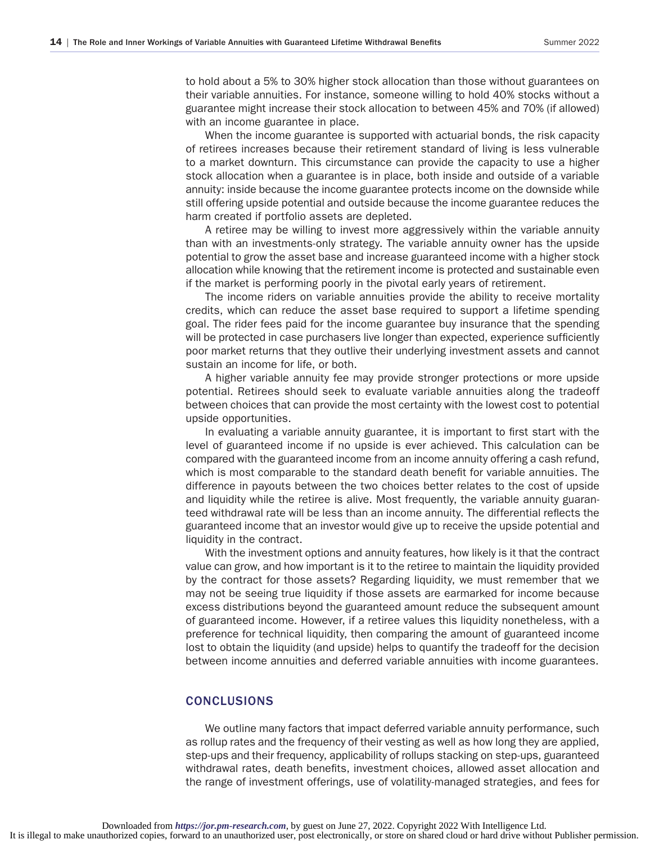to hold about a 5% to 30% higher stock allocation than those without guarantees on their variable annuities. For instance, someone willing to hold 40% stocks without a guarantee might increase their stock allocation to between 45% and 70% (if allowed) with an income guarantee in place.

When the income guarantee is supported with actuarial bonds, the risk capacity of retirees increases because their retirement standard of living is less vulnerable to a market downturn. This circumstance can provide the capacity to use a higher stock allocation when a guarantee is in place, both inside and outside of a variable annuity: inside because the income guarantee protects income on the downside while still offering upside potential and outside because the income guarantee reduces the harm created if portfolio assets are depleted.

A retiree may be willing to invest more aggressively within the variable annuity than with an investments-only strategy. The variable annuity owner has the upside potential to grow the asset base and increase guaranteed income with a higher stock allocation while knowing that the retirement income is protected and sustainable even if the market is performing poorly in the pivotal early years of retirement.

The income riders on variable annuities provide the ability to receive mortality credits, which can reduce the asset base required to support a lifetime spending goal. The rider fees paid for the income guarantee buy insurance that the spending will be protected in case purchasers live longer than expected, experience sufficiently poor market returns that they outlive their underlying investment assets and cannot sustain an income for life, or both.

A higher variable annuity fee may provide stronger protections or more upside potential. Retirees should seek to evaluate variable annuities along the tradeoff between choices that can provide the most certainty with the lowest cost to potential upside opportunities.

In evaluating a variable annuity guarantee, it is important to first start with the level of guaranteed income if no upside is ever achieved. This calculation can be compared with the guaranteed income from an income annuity offering a cash refund, which is most comparable to the standard death benefit for variable annuities. The difference in payouts between the two choices better relates to the cost of upside and liquidity while the retiree is alive. Most frequently, the variable annuity guaranteed withdrawal rate will be less than an income annuity. The differential reflects the guaranteed income that an investor would give up to receive the upside potential and liquidity in the contract.

With the investment options and annuity features, how likely is it that the contract value can grow, and how important is it to the retiree to maintain the liquidity provided by the contract for those assets? Regarding liquidity, we must remember that we may not be seeing true liquidity if those assets are earmarked for income because excess distributions beyond the guaranteed amount reduce the subsequent amount of guaranteed income. However, if a retiree values this liquidity nonetheless, with a preference for technical liquidity, then comparing the amount of guaranteed income lost to obtain the liquidity (and upside) helps to quantify the tradeoff for the decision between income annuities and deferred variable annuities with income guarantees.

#### CONCLUSIONS

We outline many factors that impact deferred variable annuity performance, such as rollup rates and the frequency of their vesting as well as how long they are applied, step-ups and their frequency, applicability of rollups stacking on step-ups, guaranteed withdrawal rates, death benefits, investment choices, allowed asset allocation and the range of investment offerings, use of volatility-managed strategies, and fees for